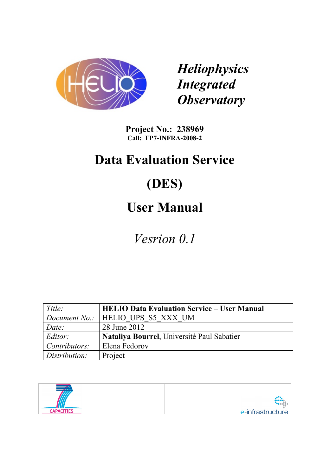

*Heliophysics Integrated Observatory*

**Project No.: 238969 Call: FP7-INFRA-2008-2**

# **Data Evaluation Service**

# **(DES)**

# **User Manual**

*Vesrion 0.1*

| Title:        | <b>HELIO Data Evaluation Service – User Manual</b> |
|---------------|----------------------------------------------------|
|               | <i>Document No.:</i>   HELIO UPS S5 XXX UM         |
| Date:         | 28 June 2012                                       |
| Editor:       | Nataliya Bourrel, Université Paul Sabatier         |
| Contributors: | Elena Fedorov                                      |
| Distribution: | Project                                            |

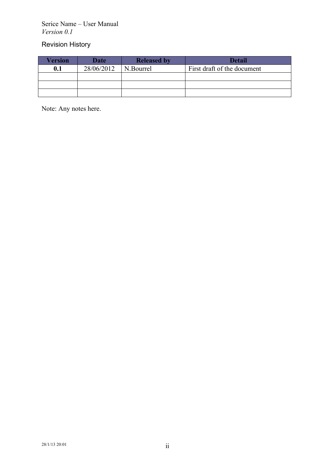Serice Name – User Manual *Version 0.1*

# Revision History

| Version | <b>Date</b> | <b>Released by</b> | <b>Detail</b>               |
|---------|-------------|--------------------|-----------------------------|
| 0.1     | 28/06/2012  | N.Bourrel          | First draft of the document |
|         |             |                    |                             |
|         |             |                    |                             |
|         |             |                    |                             |

Note: Any notes here.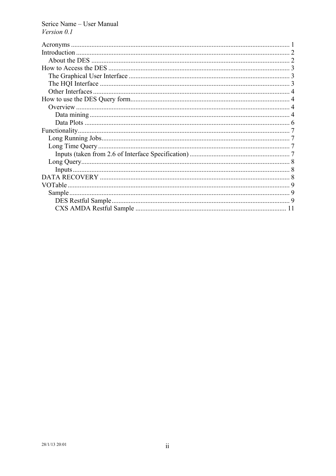Serice Name - User Manual Version 0.1

| Sample |  |
|--------|--|
|        |  |
|        |  |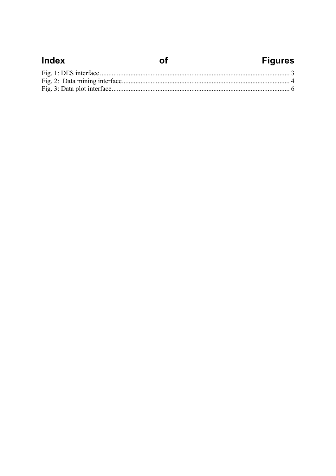| <b>Index</b> | <b>Figures</b> |
|--------------|----------------|
|              |                |
|              |                |
|              |                |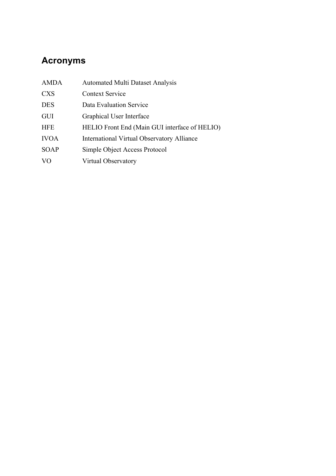# **Acronyms**

| <b>AMDA</b>    | <b>Automated Multi Dataset Analysis</b>           |
|----------------|---------------------------------------------------|
| <b>CXS</b>     | <b>Context Service</b>                            |
| <b>DES</b>     | Data Evaluation Service                           |
| GUI            | Graphical User Interface                          |
| <b>HFE</b>     | HELIO Front End (Main GUI interface of HELIO)     |
| <b>IVOA</b>    | <b>International Virtual Observatory Alliance</b> |
| <b>SOAP</b>    | Simple Object Access Protocol                     |
| V <sub>O</sub> | Virtual Observatory                               |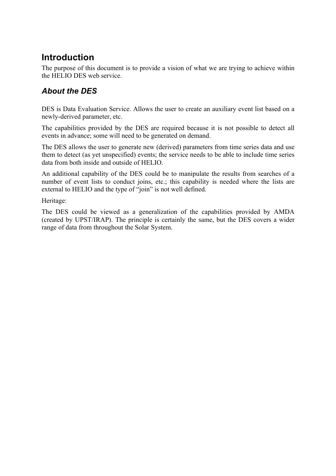# **Introduction**

The purpose of this document is to provide a vision of what we are trying to achieve within the HELIO DES web service.

# *About the DES*

DES is Data Evaluation Service. Allows the user to create an auxiliary event list based on a newly-derived parameter, etc.

The capabilities provided by the DES are required because it is not possible to detect all events in advance; some will need to be generated on demand.

The DES allows the user to generate new (derived) parameters from time series data and use them to detect (as yet unspecified) events; the service needs to be able to include time series data from both inside and outside of HELIO.

An additional capability of the DES could be to manipulate the results from searches of a number of event lists to conduct joins, etc.; this capability is needed where the lists are external to HELIO and the type of "join" is not well defined.

Heritage:

The DES could be viewed as a generalization of the capabilities provided by AMDA (created by UPST/IRAP). The principle is certainly the same, but the DES covers a wider range of data from throughout the Solar System.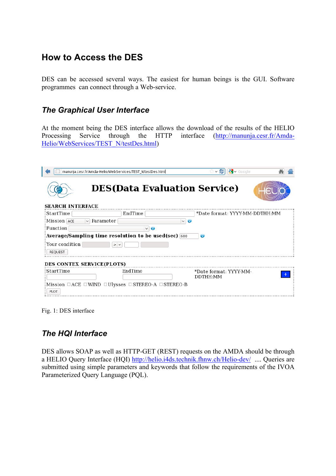# **How to Access the DES**

DES can be accessed several ways. The easiest for human beings is the GUI. Software programmes can connect through a Web-service.

## *The Graphical User Interface*

At the moment being the DES interface allows the download of the results of the HELIO Processing Service through the HTTP interface (http://manunja.cesr.fr/Amda-Helio/WebServices/TEST\_N/testDes.html)

| manunja.cesr.fr/Amda-Helio/WebServices/TEST N/testDes.html                      |                                     | $\sqrt{3}$ v Google<br>S<br>$\checkmark$ | 孏 |
|---------------------------------------------------------------------------------|-------------------------------------|------------------------------------------|---|
| <b>SEARCH INTERFACE</b>                                                         | <b>DES(Data Evaluation Service)</b> |                                          |   |
| :StartTime                                                                      | EndTime                             | *Date format: YYYY-MM-DDTHH:MM           |   |
| Parameter<br>Mission ACE<br>$\checkmark$                                        | $\vee$ 0                            |                                          |   |
| Function                                                                        | $\vee$<br>Ø                         |                                          |   |
|                                                                                 |                                     |                                          |   |
| Average/Sampling time resolution to be used(sec) 600                            |                                     | Ø                                        |   |
| Your condition<br>$>$ $\vee$                                                    |                                     |                                          |   |
| <b>REOUEST</b>                                                                  |                                     |                                          |   |
|                                                                                 |                                     |                                          |   |
| DES CONTEX SERVICE(PLOTS)                                                       |                                     |                                          |   |
| : StartTime                                                                     | EndTime                             | *Date format: YYYY-MM-                   |   |
|                                                                                 |                                     | DDTHH:MM                                 |   |
| : Mission $\Box$ ACE $\Box$ WIND $\Box$ Ulysses $\Box$ STEREO-A $\Box$ STEREO-B |                                     |                                          |   |
| <b>PLOT</b>                                                                     |                                     |                                          |   |

Fig. 1: DES interface

# *The HQI Interface*

DES allows SOAP as well as HTTP-GET (REST) requests on the AMDA should be through a HELIO Query Interface (HQI) http://helio.i4ds.technik.fhnw.ch/Helio-dev/ .... Queries are submitted using simple parameters and keywords that follow the requirements of the IVOA Parameterized Query Language (PQL).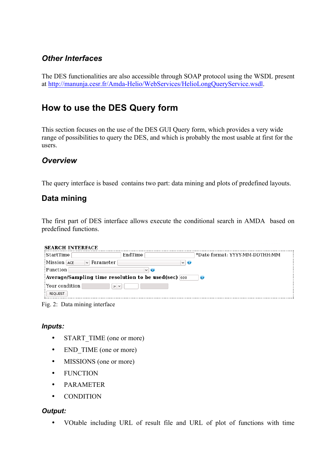## *Other Interfaces*

The DES functionalities are also accessible through SOAP protocol using the WSDL present at http://manunja.cesr.fr/Amda-Helio/WebServices/HelioLongQueryService.wsdl.

# **How to use the DES Query form**

This section focuses on the use of the DES GUI Query form, which provides a very wide range of possibilities to query the DES, and which is probably the most usable at first for the users.

### *Overview*

The query interface is based contains two part: data mining and plots of predefined layouts.

## **Data mining**

The first part of DES interface allows execute the conditional search in AMDA based on predefined functions.

| <b>SEARCH INTERFACE</b>                                           |                  |                                |
|-------------------------------------------------------------------|------------------|--------------------------------|
| :StartTime                                                        | EndTime          | *Date format: YYYY-MM-DDTHH:MM |
| Mission ACE<br>Parameter<br>$\vee$                                | $\vee$ $\bullet$ |                                |
| Function                                                          | $\vee$ $\bullet$ |                                |
| Average/Sampling time resolution to be used(sec) $\overline{600}$ |                  | Œ                              |
| Vour condition!<br>$>$ $\vee$                                     |                  |                                |
| <b>REQUEST</b>                                                    |                  |                                |
|                                                                   |                  |                                |

Fig. 2: Data mining interface

#### *Inputs:*

- START TIME (one or more)
- END TIME (one or more)
- MISSIONS (one or more)
- FUNCTION
- PARAMETER
- CONDITION

#### *Output:*

• VOtable including URL of result file and URL of plot of functions with time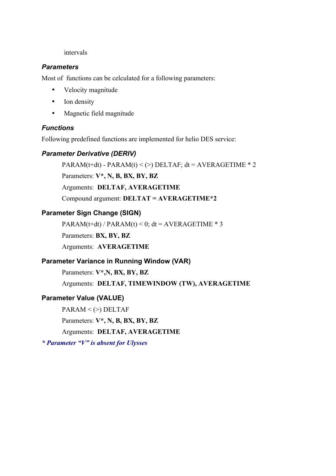#### intervals

#### *Parameters*

Most of functions can be celculated for a following parameters:

- Velocity magnitude
- Ion density
- Magnetic field magnitude

#### *Functions*

Following predefined functions are implemented for helio DES service:

#### *Parameter Derivative (DERIV)*

 $PARAM(t+dt) - PARAM(t) < (>)$  DELTAF:  $dt = AVERAGETHME * 2$ 

Parameters: **V\*, N, B, BX, BY, BZ**

Arguments: **DELTAF, AVERAGETIME**

Compound argument: **DELTAT = AVERAGETIME\*2**

#### **Parameter Sign Change (SIGN)**

PARAM(t+dt) / PARAM(t) < 0; dt = AVERAGETIME  $*$  3

Parameters: **BX, BY, BZ**

Arguments: **AVERAGETIME**

#### **Parameter Variance in Running Window (VAR)**

Parameters: **V\*,N, BX, BY, BZ** Arguments: **DELTAF, TIMEWINDOW (TW), AVERAGETIME**

#### **Parameter Value (VALUE)**

 $PARM < (>)$  DELTAF Parameters: **V\*, N, B, BX, BY, BZ** Arguments: **DELTAF, AVERAGETIME**

*\* Parameter "V" is absent for Ulysses*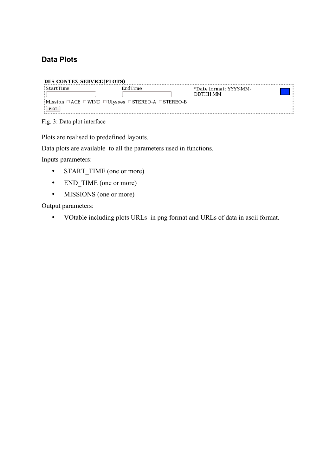## **Data Plots**

| :StartTime | <b>EndTime</b>                                                                  | *Date format: YYYY-MM- |  |
|------------|---------------------------------------------------------------------------------|------------------------|--|
|            |                                                                                 | DDTHH:MM               |  |
|            | : Mission $\Box$ ACE $\Box$ WIND $\Box$ Ulysses $\Box$ STEREO-A $\Box$ STEREO-B |                        |  |
| PLOT       |                                                                                 |                        |  |

Fig. 3: Data plot interface

Plots are realised to predefined layouts.

Data plots are available to all the parameters used in functions.

Inputs parameters:

- START TIME (one or more)
- END\_TIME (one or more)
- MISSIONS (one or more)

Output parameters:

• VOtable including plots URLs in png format and URLs of data in ascii format.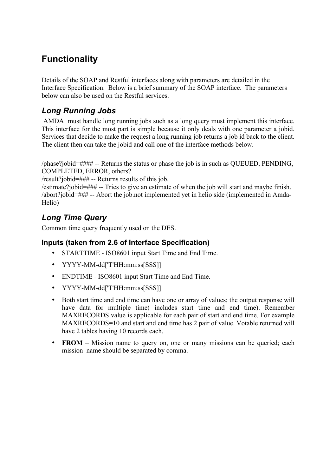# **Functionality**

Details of the SOAP and Restful interfaces along with parameters are detailed in the Interface Specification. Below is a brief summary of the SOAP interface. The parameters below can also be used on the Restful services.

# *Long Running Jobs*

AMDA must handle long running jobs such as a long query must implement this interface. This interface for the most part is simple because it only deals with one parameter a jobid. Services that decide to make the request a long running job returns a job id back to the client. The client then can take the jobid and call one of the interface methods below.

/phase?jobid=#### -- Returns the status or phase the job is in such as QUEUED, PENDING, COMPLETED, ERROR, others?

/result?jobid=### -- Returns results of this job.

/estimate?jobid=### -- Tries to give an estimate of when the job will start and maybe finish. /abort?jobid=### -- Abort the job.not implemented yet in helio side (implemented in Amda-Helio)

# *Long Time Query*

Common time query frequently used on the DES.

### **Inputs (taken from 2.6 of Interface Specification)**

- STARTTIME ISO8601 input Start Time and End Time.
- YYYY-MM-dd['T'HH:mm:ss[SSS]]
- ENDTIME ISO8601 input Start Time and End Time.
- YYYY-MM-dd['T'HH:mm:ss[SSS]]
- Both start time and end time can have one or array of values; the output response will have data for multiple time( includes start time and end time). Remember MAXRECORDS value is applicable for each pair of start and end time. For example MAXRECORDS=10 and start and end time has 2 pair of value. Votable returned will have 2 tables having 10 records each.
- **FROM** Mission name to query on, one or many missions can be queried; each mission name should be separated by comma.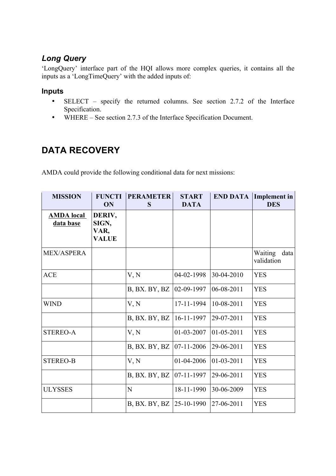# *Long Query*

'LongQuery' interface part of the HQI allows more complex queries, it contains all the inputs as a 'LongTimeQuery' with the added inputs of:

#### **Inputs**

- SELECT specify the returned columns. See section 2.7.2 of the Interface Specification.
- WHERE See section 2.7.3 of the Interface Specification Document.

# **DATA RECOVERY**

AMDA could provide the following conditional data for next missions:

| <b>MISSION</b>                 | <b>FUNCTI</b><br>ON                     | <b>PERAMETER</b><br>S | <b>START</b><br><b>DATA</b> | <b>END DATA</b>  | <b>Implement</b> in<br><b>DES</b> |
|--------------------------------|-----------------------------------------|-----------------------|-----------------------------|------------------|-----------------------------------|
| <b>AMDA</b> local<br>data base | DERIV,<br>SIGN,<br>VAR,<br><b>VALUE</b> |                       |                             |                  |                                   |
| <b>MEX/ASPERA</b>              |                                         |                       |                             |                  | Waiting<br>data<br>validation     |
| <b>ACE</b>                     |                                         | V, N                  | 04-02-1998                  | 30-04-2010       | <b>YES</b>                        |
|                                |                                         | B, BX. BY, BZ         | 02-09-1997                  | 06-08-2011       | <b>YES</b>                        |
| <b>WIND</b>                    |                                         | V, N                  | 17-11-1994                  | 10-08-2011       | <b>YES</b>                        |
|                                |                                         | B, BX. BY, BZ         | 16-11-1997                  | 29-07-2011       | <b>YES</b>                        |
| <b>STEREO-A</b>                |                                         | V, N                  | 01-03-2007                  | $01 - 05 - 2011$ | <b>YES</b>                        |
|                                |                                         | B, BX. BY, BZ         | $07-11-2006$                | 29-06-2011       | <b>YES</b>                        |
| <b>STEREO-B</b>                |                                         | V, N                  | 01-04-2006                  | $01 - 03 - 2011$ | <b>YES</b>                        |
|                                |                                         | B, BX. BY, BZ         | 07-11-1997                  | 29-06-2011       | <b>YES</b>                        |
| <b>ULYSSES</b>                 |                                         | N                     | 18-11-1990                  | 30-06-2009       | <b>YES</b>                        |
|                                |                                         | B, BX. BY, BZ         | 25-10-1990                  | 27-06-2011       | <b>YES</b>                        |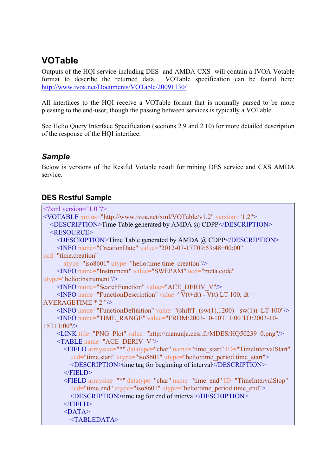# **VOTable**

Outputs of the HQI service including DES and AMDA CXS will contain a IVOA Votable format to describe the returned data. VOTable specification can be found here: http://www.ivoa.net/Documents/VOTable/20091130/

All interfaces to the HQI receive a VOTable format that is normally parsed to be more pleasing to the end-user, though the passing between services is typically a VOTable.

See Helio Query Interface Specification (sections 2.9 and 2.10) for more detailed description of the response of the HQI interface.

## *Sample*

Below is versions of the Restful Votable result for mining DES service and CXS AMDA service.

### **DES Restful Sample**

| $\leq$ ?xml version="1.0"?>                                                                                    |
|----------------------------------------------------------------------------------------------------------------|
| <votable version="1.2" xmlns="http://www.ivoa.net/xml/VOTable/v1.2"></votable>                                 |
| <description>Time Table generated by AMDA @ CDPP</description>                                                 |
| <resource></resource>                                                                                          |
| <description>Time Table generated by AMDA @ CDPP</description>                                                 |
| <info <="" name="CreationDate" td="" value="2012-07-17T09:53:48+00:00"></info>                                 |
| ucd="time.creation"                                                                                            |
| xtype="iso8601" utype="helio:time.time creation"/>                                                             |
| <info <="" name="Instrument" td="" ucd="meta.code" value="SWEPAM"></info>                                      |
| $utype="helio:instrument"$                                                                                     |
| <info name="SearchFunction" value="ACE DERIV V"></info>                                                        |
| $\leq$ INFO name="FunctionDescription" value="V(t+dt) - V(t) LT 100; dt =                                      |
| $AVERAGETIME * 2$ "/>                                                                                          |
| <info name="FunctionDefinition" value="(shiftT &lt;math&gt;(sw(1), 1200)&lt;/math&gt; - sw(1)) LT 100"></info> |
| <info name="TIME RANGE" plot"="" png="" value="http://manunja.cesr.fr/MDES/HQ50239 0.png"></info>              |
| <table name="ACE DERIV V"></table>                                                                             |
| <field <="" arraysize="*" datatype="char" id="TimeIntervalStart" name="time start" td=""></field>              |
| ucd="time.start" xtype="iso8601" utype="helio:time period.time start">                                         |
| <description>time tag for beginning of interval</description>                                                  |
| $<$ FIELD>                                                                                                     |
| <field <="" arraysize="*" datatype="char" id="TimeIntervalStop" name="time end" td=""></field>                 |
| ucd="time.end" xtype="iso8601" utype="helio:time period.time end">                                             |
| <description>time tag for end of interval</description>                                                        |
| $<$ FIELD>                                                                                                     |
| $<$ DATA $>$                                                                                                   |
| <tabledata></tabledata>                                                                                        |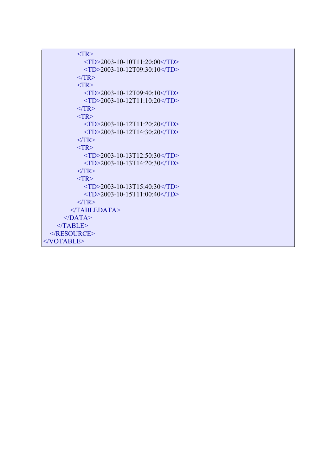```
<TR><TD>2003-10-10T11:20:00<TD>
            <TD>2003-10-12T09:30:10</TD>
         </TR><TR> <TD>2003-10-12T09:40:10</TD>
            <TD>2003-10-12T11:10:20</TD>
         <TR>
         <TR> <TD>2003-10-12T11:20:20</TD>
            <TD>2003-10-12T14:30:20</TD>
         <TR><TR><TD>2003-10-13T12:50:30</TD>
            <TD>2003-10-13T14:20:30</TD>
         <TR><TR><TD>2003-10-13T15:40:30<TD>
            <TD>2003-10-15T11:00:40</TD>
         </TR> </TABLEDATA>
     </DATA></TABLE>
  </RESOURCE>
</VOTABLE>
```